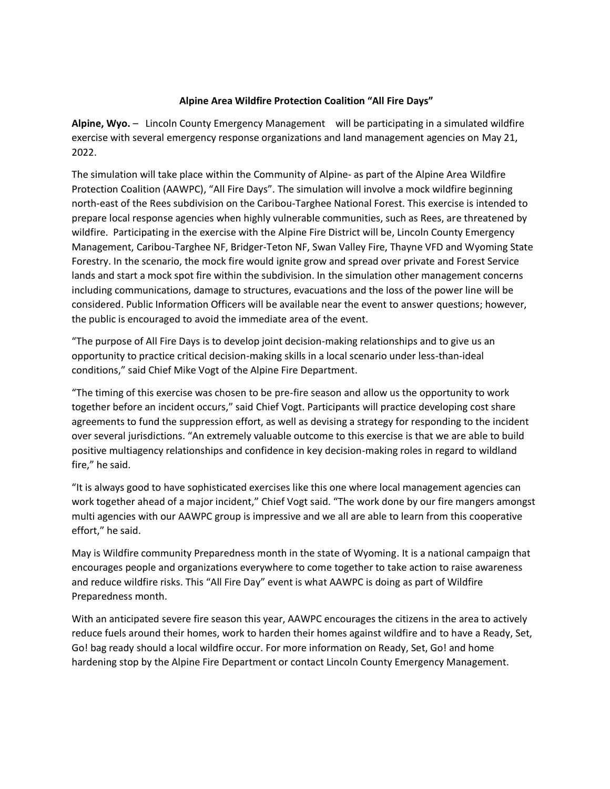## **Alpine Area Wildfire Protection Coalition "All Fire Days"**

**Alpine, Wyo.** – Lincoln County Emergency Management will be participating in a simulated wildfire exercise with several emergency response organizations and land management agencies on May 21, 2022.

The simulation will take place within the Community of Alpine- as part of the Alpine Area Wildfire Protection Coalition (AAWPC), "All Fire Days". The simulation will involve a mock wildfire beginning north-east of the Rees subdivision on the Caribou-Targhee National Forest. This exercise is intended to prepare local response agencies when highly vulnerable communities, such as Rees, are threatened by wildfire. Participating in the exercise with the Alpine Fire District will be, Lincoln County Emergency Management, Caribou-Targhee NF, Bridger-Teton NF, Swan Valley Fire, Thayne VFD and Wyoming State Forestry. In the scenario, the mock fire would ignite grow and spread over private and Forest Service lands and start a mock spot fire within the subdivision. In the simulation other management concerns including communications, damage to structures, evacuations and the loss of the power line will be considered. Public Information Officers will be available near the event to answer questions; however, the public is encouraged to avoid the immediate area of the event.

"The purpose of All Fire Days is to develop joint decision-making relationships and to give us an opportunity to practice critical decision-making skills in a local scenario under less-than-ideal conditions," said Chief Mike Vogt of the Alpine Fire Department.

"The timing of this exercise was chosen to be pre-fire season and allow us the opportunity to work together before an incident occurs," said Chief Vogt. Participants will practice developing cost share agreements to fund the suppression effort, as well as devising a strategy for responding to the incident over several jurisdictions. "An extremely valuable outcome to this exercise is that we are able to build positive multiagency relationships and confidence in key decision-making roles in regard to wildland fire," he said.

"It is always good to have sophisticated exercises like this one where local management agencies can work together ahead of a major incident," Chief Vogt said. "The work done by our fire mangers amongst multi agencies with our AAWPC group is impressive and we all are able to learn from this cooperative effort," he said.

May is Wildfire community Preparedness month in the state of Wyoming. It is a national campaign that encourages people and organizations everywhere to come together to take action to raise awareness and reduce wildfire risks. This "All Fire Day" event is what AAWPC is doing as part of Wildfire Preparedness month.

With an anticipated severe fire season this year, AAWPC encourages the citizens in the area to actively reduce fuels around their homes, work to harden their homes against wildfire and to have a Ready, Set, Go! bag ready should a local wildfire occur. For more information on Ready, Set, Go! and home hardening stop by the Alpine Fire Department or contact Lincoln County Emergency Management.